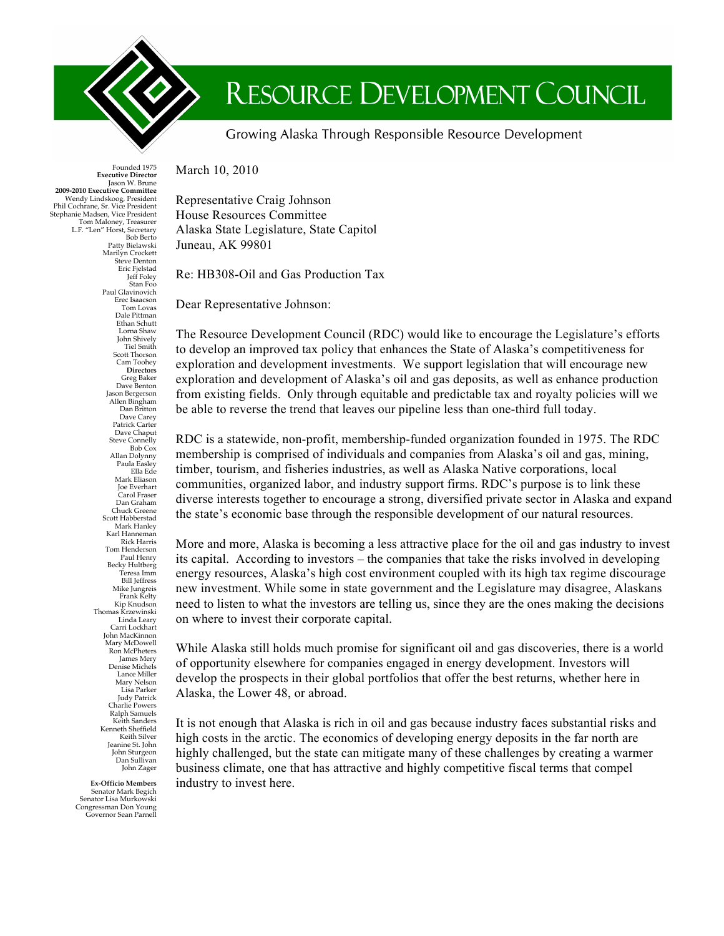

## RESOURCE DEVELOPMENT COUNCIL

Growing Alaska Through Responsible Resource Development

March 10, 2010

Representative Craig Johnson House Resources Committee Alaska State Legislature, State Capitol Juneau, AK 99801

Re: HB308-Oil and Gas Production Tax

Dear Representative Johnson:

The Resource Development Council (RDC) would like to encourage the Legislature's efforts to develop an improved tax policy that enhances the State of Alaska's competitiveness for exploration and development investments. We support legislation that will encourage new exploration and development of Alaska's oil and gas deposits, as well as enhance production from existing fields. Only through equitable and predictable tax and royalty policies will we be able to reverse the trend that leaves our pipeline less than one-third full today.

RDC is a statewide, non-profit, membership-funded organization founded in 1975. The RDC membership is comprised of individuals and companies from Alaska's oil and gas, mining, timber, tourism, and fisheries industries, as well as Alaska Native corporations, local communities, organized labor, and industry support firms. RDC's purpose is to link these diverse interests together to encourage a strong, diversified private sector in Alaska and expand the state's economic base through the responsible development of our natural resources.

More and more, Alaska is becoming a less attractive place for the oil and gas industry to invest its capital. According to investors – the companies that take the risks involved in developing energy resources, Alaska's high cost environment coupled with its high tax regime discourage new investment. While some in state government and the Legislature may disagree, Alaskans need to listen to what the investors are telling us, since they are the ones making the decisions on where to invest their corporate capital.

While Alaska still holds much promise for significant oil and gas discoveries, there is a world of opportunity elsewhere for companies engaged in energy development. Investors will develop the prospects in their global portfolios that offer the best returns, whether here in Alaska, the Lower 48, or abroad.

It is not enough that Alaska is rich in oil and gas because industry faces substantial risks and high costs in the arctic. The economics of developing energy deposits in the far north are highly challenged, but the state can mitigate many of these challenges by creating a warmer business climate, one that has attractive and highly competitive fiscal terms that compel industry to invest here.

Founded 1975 **Executive Director** Jason W. Brune **2009-2010 Executive Committee** Wendy Lindskoog, President Phil Cochrane, Sr. Vice President Stephanie Madsen, Vice President Tom Maloney, Treasurer L.F. "Len" Horst, Secretary Bob Berto Patty Bielawski Marilyn Crockett Steve Denton Eric Fjelstad Jeff Foley Stan Foo Paul Glavinovich Erec Isaacson Tom Lovas Dale Pittman Ethan Schutt Lorna Shaw John Shively Tiel Smith Scott Thorson Cam Toohey **Directors** Greg Baker Dave Benton Jason Bergerson Allen Bingham Dan Britton Dave Carey Patrick Carter Dave Chaput Steve Connelly Bob Cox Allan Dolynny Paula Easley Ella Ede Mark Eliason Joe Everhart Carol Fraser Dan Graham Chuck Greene Scott Habberstad Mark Hanley Karl Hanneman Rick Harris Tom Henderson Paul Henry Becky Hultberg Teresa Imm Bill Jeffress Mike Jungreis Frank Kelty Kip Knudson Thomas Krzewinski Linda Leary Carri Lockhart John MacKinnon Mary McDowell Ron McPheters James Mery Denise Michels Lance Miller Mary Nelson Lisa Parker Judy Patrick Charlie Powers Ralph Samuels Keith Sanders Kenneth Sheffield Keith Silver Jeanine St. John John Sturgeon Dan Sullivan John Zager

> **Ex-Officio Members** Senator Mark Begich Senator Lisa Murkowski Congressman Don Young Governor Sean Parnell